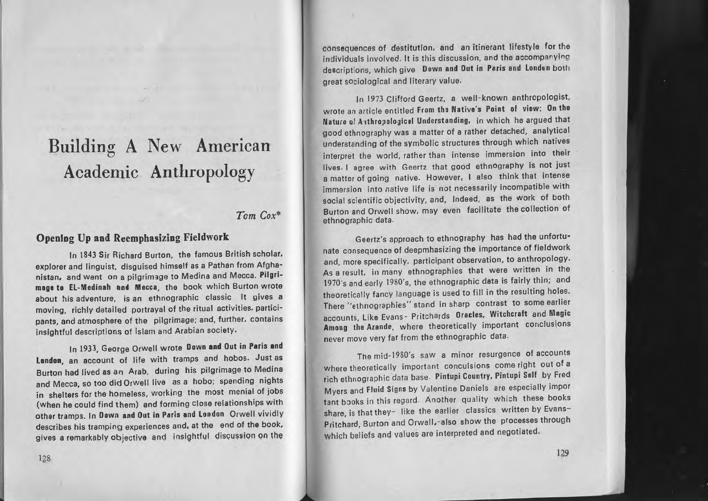## Building A New American Academic Anthropology

## *Tom Cox\**

## Opening Up and Reemphasizing Fieldwork

In 1843 Sir Richard Burton, the famous British scholar, explorer and linguist, disguised himself as <sup>a</sup> Pathan from Afghanistan, and went on a pilgrimage to Medina and Mecca. Pilgrimage to EL-Medinah and Mecca, the book which Burton wrote about his adventure, is an ethnographic classic It gives <sup>a</sup> moving, richly detailed portrayal of the ritual activities. participants, and atmosphere of the pilgrimage; and, further, contains insightful descriptions of Islam and Arabian society.

In 1933, George Orwell wrote Down and Out in Paris and Lendon, an account of life with tramps and hobos. Just as Burton had lived as an Arab, during his pilgrimage to Medina and Mecca. so too did Orwell live as <sup>a</sup> hobo; spending nights in shelters for the homeless, working the most menial of jobs (when he could find them) and forming close relationships with other tramps. In Down and Out in Paris and London Orwell vividly describes his tramping experiences and, at the end of the book, gives a remarkably objective and insightful discussion on the

consequences of destitution, and an itinerant lifestyle for the individuals involved. It is this discussion, and the accompanying descriptions, which give Down and Out in Paris and London both great sOciological and literary value.

In 1973 Clifford Geertz, <sup>a</sup> well-known anthropologist, wrote an article entitled From the Native's Point of view: On the Nature of Anthropological Understanding, in which he argued that good ethnography was <sup>a</sup> matter of <sup>a</sup> rather detached, analytical understanding of the symbolic structures through which natives interpret the world, rather than intense immersion into their lives. I agree with Geertz that good ethnography is not just <sup>a</sup> matter of going native. However. I also think that intense immersion into native life is not necessarily incompatible with social scientific *objectivity.* and, Indeed, as the work of both Burton and Orwell show, may even facilitate the collection of ethnographic data.

Geertz's approach to ethnography has had the unfortunate consequence of deepmhasizing the importance of fieldwork and, more specifically, participant observation, to anthropology. As <sup>a</sup> result, in many ethnographies that were written in the 1970's and early 1980's, the ethnographic deta is fairly thin; and theoretically fancy language is used to fill in the resulting holes. There "ethnographies" stand in sharp contrast to some earlier accounts, Like Evans - Pritchards Oracles, Witchcraft and Magic Among the Azande, where theoretically important conclusions never move very far from the ethnographic data.

The mid-1980's saw <sup>a</sup> minor resurgence of accounts Where theoretically important conculsions come right out of <sup>a</sup> rich ethnographic data base. Pintupi Country, Pintupi Self by Fred Myers and Fluid Signs by Valentine Daniels are especially impor tant books in this regard. Another quality which these books share, is that they- like the earlier classics written by Evans-Pritchard, Burton and Orwell,-also show the processes through which beliefs and values are interpreted and negotiated.